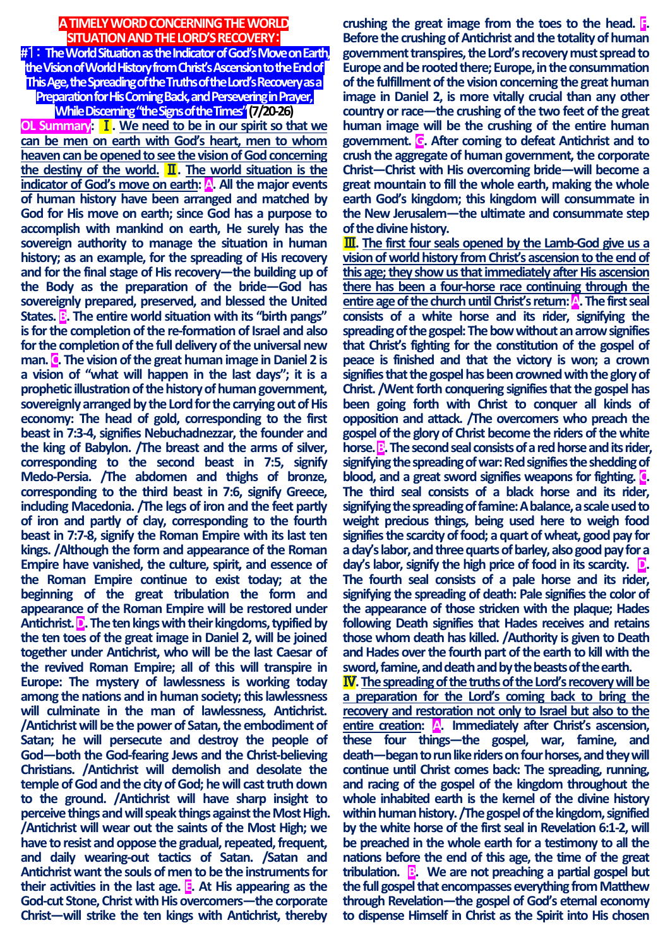## **A TIMELY WORD CONCERNING THE WORLD SITUATION AND THE LORD'S RECOVERY**:

**#**1: **The World Situation as the Indicator of God's Move on Earth, the Vision of World History from Christ's Ascension to the End of This Age, the Spreading ofthe Truths of the Lord's Recovery as a Preparation for His Coming Back, and Persevering in Prayer,** 

**While Discerning "the Signs of the Times"(7/20-26)**

**OL Summary:** Ⅰ**. We need to be in our spirit so that we can be men on earth with God's heart, men to whom heaven can be opened to see the vision of God concerning the destiny of the world.** Ⅱ**. The world situation is the indicator of God's move on earth: A. All the major events of human history have been arranged and matched by God for His move on earth; since God has a purpose to accomplish with mankind on earth, He surely has the sovereign authority to manage the situation in human history; as an example, for the spreading of His recovery and for the final stage of His recovery—the building up of the Body as the preparation of the bride—God has sovereignly prepared, preserved, and blessed the United States. B. The entire world situation with its "birth pangs" is for the completion of the re-formation of Israel and also for the completion of the full delivery of the universal new man. C. The vision of the great human image in Daniel 2 is a vision of "what will happen in the last days"; it is a prophetic illustration of the history of human government, sovereignly arranged by the Lord for the carrying out of His economy: The head of gold, corresponding to the first beast in 7:3-4, signifies Nebuchadnezzar, the founder and the king of Babylon. /The breast and the arms of silver, corresponding to the second beast in 7:5, signify Medo-Persia. /The abdomen and thighs of bronze, corresponding to the third beast in 7:6, signify Greece, including Macedonia. /The legs of iron and the feet partly of iron and partly of clay, corresponding to the fourth beast in 7:7-8, signify the Roman Empire with its last ten kings. /Although the form and appearance of the Roman Empire have vanished, the culture, spirit, and essence of the Roman Empire continue to exist today; at the beginning of the great tribulation the form and appearance of the Roman Empire will be restored under Antichrist. D. The ten kings with their kingdoms, typified by the ten toes of the great image in Daniel 2, will be joined together under Antichrist, who will be the last Caesar of the revived Roman Empire; all of this will transpire in Europe: The mystery of lawlessness is working today among the nations and in human society; this lawlessness will culminate in the man of lawlessness, Antichrist. /Antichrist will be the power of Satan, the embodiment of Satan; he will persecute and destroy the people of God—both the God-fearing Jews and the Christ-believing Christians. /Antichrist will demolish and desolate the temple of God and the city of God; he will cast truth down to the ground. /Antichrist will have sharp insight to perceive things and will speak things against the Most High. /Antichrist will wear out the saints of the Most High; we have to resist and oppose the gradual, repeated, frequent, and daily wearing-out tactics of Satan. /Satan and Antichrist want the souls of men to be the instruments for their activities in the last age. E. At His appearing as the God-cut Stone, Christ with His overcomers—the corporate Christ—will strike the ten kings with Antichrist, thereby**  **crushing the great image from the toes to the head. F. Before the crushing of Antichrist and the totality of human government transpires, the Lord's recovery must spread to Europe and be rooted there; Europe, in the consummation of the fulfillment of the vision concerning the great human image in Daniel 2, is more vitally crucial than any other country or race—the crushing of the two feet of the great human image will be the crushing of the entire human government. G. After coming to defeat Antichrist and to crush the aggregate of human government, the corporate Christ—Christ with His overcoming bride—will become a great mountain to fill the whole earth, making the whole earth God's kingdom; this kingdom will consummate in the New Jerusalem—the ultimate and consummate step of the divine history.** 

Ⅲ**. The first four seals opened by the Lamb-God give us a vision of world history from Christ's ascension to the end of this age; they show us that immediately after His ascension there has been a four-horse race continuing through the entire age of the churchuntil Christ's return: A. The first seal consists of a white horse and its rider, signifying the spreading of the gospel:The bow without an arrow signifies that Christ's fighting for the constitution of the gospel of peace is finished and that the victory is won; a crown signifies that the gospel has been crowned with the glory of Christ. /Went forth conquering signifies that the gospel has been going forth with Christ to conquer all kinds of opposition and attack. /The overcomers who preach the gospel of the glory of Christ become the riders of the white horse. B**. The second seal consists of a red horse and its rider, **signifying the spreading of war: Red signifies the shedding of blood, and a great sword signifies weapons for fighting. C. The third seal consists of a black horse and its rider, signifying the spreading of famine: A balance, a scale used to weight precious things, being used here to weigh food signifies the scarcity of food; a quart of wheat, good pay for a day's labor, and three quarts of barley, also good pay for a day's labor, signify the high price of food in its scarcity. D. The fourth seal consists of a pale horse and its rider, signifying the spreading of death: Pale signifies the color of the appearance of those stricken with the plaque; Hades following Death signifies that Hades receives and retains those whom death has killed. /Authority is given to Death and Hades over the fourth part of the earth to kill with the sword, famine, and death and by the beasts of the earth.**

Ⅳ**.The spreading of the truths of the Lord's recoverywill be a preparation for the Lord's coming back to bring the recovery and restoration not only to Israel but also to the entire creation: A. Immediately after Christ's ascension, these four things—the gospel, war, famine, and death—began to run like riders on four horses, and they will continue until Christ comes back: The spreading, running, and racing of the gospel of the kingdom throughout the whole inhabited earth is the kernel of the divine history within human history. /The gospel of the kingdom, signified by the white horse of the first seal in Revelation 6:1-2, will be preached in the whole earth for a testimony to all the nations before the end of this age, the time of the great tribulation. B. We are not preaching a partial gospel but the full gospel that encompasses everything from Matthew through Revelation—the gospel of God's eternal economy to dispense Himself in Christ as the Spirit into His chosen**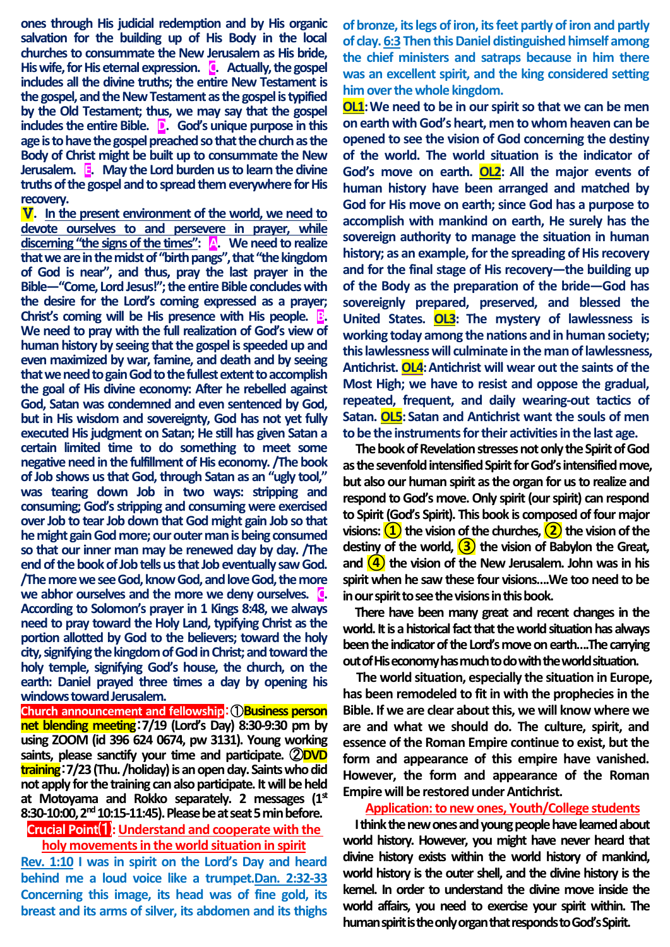**ones through His judicial redemption and by His organic salvation for the building up of His Body in the local churches to consummate the New Jerusalem as His bride, His wife, for His eternal expression. C. Actually, the gospel includes all the divine truths; the entire New Testament is the gospel, and the New Testament as the gospel is typified by the Old Testament; thus, we may say that the gospel includes the entire Bible. D. God's unique purpose in this age is to have the gospel preached so that the church asthe Body of Christ might be built up to consummate the New Jerusalem. E. May the Lord burden us to learn the divine truths of the gospel and to spread them everywhere for His recovery.**

Ⅴ**. In the present environment of the world, we need to devote ourselves to and persevere in prayer, while discerning "the signs of the times": A. We need to realize that we are in the midst of "birth pangs", that "the kingdom of God is near", and thus, pray the last prayer in the Bible—"Come, Lord Jesus!"; the entireBible concludes with the desire for the Lord's coming expressed as a prayer; Christ's coming will be His presence with His people. B. We need to pray with the full realization of God's view of human history by seeing that the gospel is speeded up and even maximized by war, famine, and death and by seeing that we need to gain God to the fullest extent to accomplish the goal of His divine economy: After he rebelled against God, Satan was condemned and even sentenced by God, but in His wisdom and sovereignty, God has not yet fully executed His judgment on Satan; He still has given Satan a certain limited time to do something to meet some negative need in the fulfillment of His economy. /The book of Job shows us that God, through Satan as an "ugly tool," was tearing down Job in two ways: stripping and consuming; God's stripping and consuming were exercised over Job to tear Job down that God might gain Job so that he might gain God more; our outer man is being consumed so that our inner man may be renewed day by day. /The end of the book of Job tells us that Job eventually saw God. /The more we see God, know God, and love God, the more we abhor ourselves and the more we deny ourselves. C. According to Solomon's prayer in 1 Kings 8:48, we always need to pray toward the Holy Land, typifying Christ as the portion allotted by God to the believers; toward the holy city, signifying the kingdom of God in Christ; and toward the holy temple, signifying God's house, the church, on the earth: Daniel prayed three times a day by opening his windows toward Jerusalem.**

**Church announcement and fellowship**:①**Business person net blending meeting**:**7/19 (Lord's Day) 8:30-9:30 pm by using ZOOM (id 396 624 0674, pw 3131). Young working saints, please sanctify your time and participate.** ②**DVD training**:**7/23 (Thu. /holiday) is an open day. Saints who did not apply for the training can also participate. It will be held at Motoyama and Rokko separately. 2 messages (1st 8:30-10:00, 2nd 10:15-11:45).Please be at seat 5 min before.**

**Crucial Point**⑴**:Understand and cooperate with the holy movements in the world situation in spirit**

**Rev. 1:10 I was in spirit on the Lord's Day and heard behind me a loud voice like a trumpet.Dan. 2:32-33 Concerning this image, its head was of fine gold, its breast and its arms of silver, its abdomen and its thighs** 

**of bronze, its legs of iron, its feet partly of iron and partly of clay. 6:3 Then this Daniel distinguished himself among the chief ministers and satraps because in him there was an excellent spirit, and the king considered setting him over the whole kingdom.**

**OL1:We need to be in our spirit so that we can be men on earth with God's heart, men to whom heaven can be opened to see the vision of God concerning the destiny of the world. The world situation is the indicator of God's move on earth. OL2: All the major events of human history have been arranged and matched by God for His move on earth; since God has a purpose to accomplish with mankind on earth, He surely has the sovereign authority to manage the situation in human history; as an example, for the spreading of His recovery and for the final stage of His recovery—the building up of the Body as the preparation of the bride—God has sovereignly prepared, preserved, and blessed the United States. OL3: The mystery of lawlessness is working today among the nations and in human society; this lawlessness will culminate in the man of lawlessness, Antichrist. OL4:Antichrist will wear out the saints of the Most High; we have to resist and oppose the gradual, repeated, frequent, and daily wearing-out tactics of Satan. OL5: Satan and Antichrist want the souls of men to be the instruments for their activities in the last age.**

**The book of Revelation stresses not only the Spirit of God as the sevenfold intensified Spirit for God's intensified move, but also our human spirit as the organ for us to realize and respond to God's move. Only spirit (our spirit) can respond to Spirit (God's Spirit). This book is composed of four major visions: ①the vision of the churches, ②the vision of the destiny of the world, ③the vision of Babylon the Great, and ④the vision of the New Jerusalem. John was in his spirit when he saw these four visions….We too need to be in our spirit to see the visions in this book.**

**There have been many great and recent changes in the world. It is a historical fact that the world situation has always been the indicator of the Lord's move on earth….The carrying out of His economy has much to do with the world situation.**

**The world situation, especially the situation in Europe, has been remodeled to fit in with the prophecies in the Bible. If we are clear about this, we will know where we are and what we should do. The culture, spirit, and essence of the Roman Empire continue to exist, but the form and appearance of this empire have vanished. However, the form and appearance of the Roman Empire will be restored under Antichrist.**

**Application: to new ones, Youth/College students** 

**I think the new ones and young people have learned about world history. However, you might have never heard that divine history exists within the world history of mankind, world history is the outer shell, and the divine history is the kernel. In order to understand the divine move inside the world affairs, you need to exercise your spirit within. The human spirit is the only organ that responds to God's Spirit.**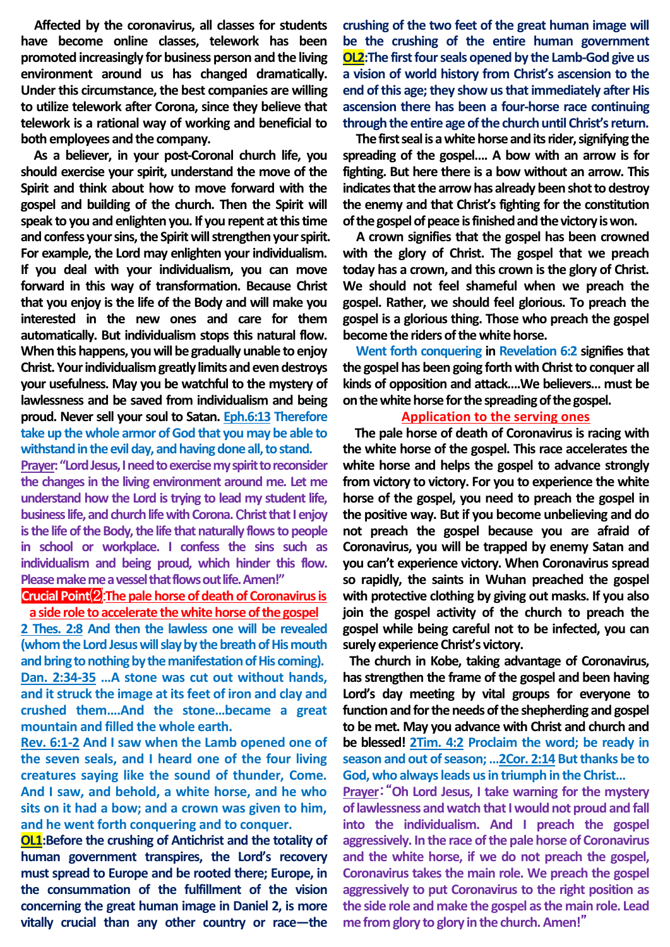**Affected by the coronavirus, all classes for students have become online classes, telework has been promoted increasingly for business person and the living environment around us has changed dramatically. Under this circumstance, the best companies are willing to utilize telework after Corona, since they believe that telework is a rational way of working and beneficial to both employees and the company.**

**As a believer, in your post-Coronal church life, you should exercise your spirit, understand the move of the Spirit and think about how to move forward with the gospel and building of the church. Then the Spirit will speak to you and enlighten you. If you repent at this time and confess your sins, the Spirit will strengthen your spirit. For example, the Lord may enlighten your individualism. If you deal with your individualism, you can move forward in this way of transformation. Because Christ that you enjoy is the life of the Body and will make you interested in the new ones and care for them automatically. But individualism stops this natural flow. When this happens, you will be gradually unable to enjoy Christ. Your individualism greatly limits and even destroys your usefulness. May you be watchful to the mystery of lawlessness and be saved from individualism and being proud. Never sell your soul to Satan. Eph.6:13 Therefore take up the whole armor of God that you may be able to withstand in the evil day, and having done all, to stand.**

**Prayer: "Lord Jesus, I need to exercise my spirit to reconsider the changes in the living environment around me. Let me understand how the Lord is trying to lead my student life, business life, and church life with Corona. Christ that I enjoy is the life of the Body, the life that naturally flows to people in school or workplace. I confess the sins such as individualism and being proud, which hinder this flow. Please make me a vessel that flowsoutlife. Amen!"**

## **Crucial Point**⑵:**The pale horse of death of Coronavirus is a side role to accelerate the white horse of the gospel**

**2 Thes. 2:8 And then the lawless one will be revealed (whom the Lord Jesus will slay by the breath of His mouth and bring to nothing by the manifestation of His coming). Dan. 2:34-35 …A stone was cut out without hands, and it struck the image at its feet of iron and clay and crushed them….And the stone…became a great mountain and filled the whole earth.** 

**Rev. 6:1-2 And I saw when the Lamb opened one of the seven seals, and I heard one of the four living creatures saying like the sound of thunder, Come. And I saw, and behold, a white horse, and he who sits on it had a bow; and a crown was given to him, and he went forth conquering and to conquer.**

**OL1:Before the crushing of Antichrist and the totality of human government transpires, the Lord's recovery must spread to Europe and be rooted there; Europe, in the consummation of the fulfillment of the vision concerning the great human image in Daniel 2, is more vitally crucial than any other country or race—the** 

**crushing of the two feet of the great human image will be the crushing of the entire human government OL2:The first four seals opened by the Lamb-God give us a vision of world history from Christ's ascension to the end of this age; they show us that immediately after His ascension there has been a four-horse race continuing through the entire age of the church until Christ's return.** 

**The first seal is a white horse and its rider, signifying the spreading of the gospel…. A bow with an arrow is for fighting. But here there is a bow without an arrow. This indicates that the arrow has already been shot to destroy the enemy and that Christ's fighting for the constitution of the gospel of peace is finished and the victory is won.** 

**A crown signifies that the gospel has been crowned with the glory of Christ. The gospel that we preach today has a crown, and this crown is the glory of Christ. We should not feel shameful when we preach the gospel. Rather, we should feel glorious. To preach the gospel is a glorious thing. Those who preach the gospel become the riders of the white horse.**

**Went forth conquering in Revelation 6:2 signifies that the gospel has been going forth with Christ to conquer all kinds of opposition and attack….We believers… must be on the white horse for the spreading of the gospel.** 

## **Application to the serving ones**

**The pale horse of death of Coronavirus is racing with the white horse of the gospel. This race accelerates the white horse and helps the gospel to advance strongly from victory to victory. For you to experience the white horse of the gospel, you need to preach the gospel in the positive way. But if you become unbelieving and do not preach the gospel because you are afraid of Coronavirus, you will be trapped by enemy Satan and you can't experience victory. When Coronavirus spread so rapidly, the saints in Wuhan preached the gospel with protective clothing by giving out masks. If you also join the gospel activity of the church to preach the gospel while being careful not to be infected, you can surely experience Christ's victory.**

**The church in Kobe, taking advantage of Coronavirus, has strengthen the frame of the gospel and been having Lord's day meeting by vital groups for everyone to function and for the needs of the shepherding and gospel to be met. May you advance with Christ and church and be blessed! 2Tim. 4:2 Proclaim the word; be ready in season and out of season; …2Cor. 2:14 But thanks be to God, who always leads us in triumph in the Christ…**

**Prayer**:"**Oh Lord Jesus, I take warning for the mystery of lawlessness and watch that I would not proud and fall into the individualism. And I preach the gospel aggressively. In the race of the pale horse of Coronavirus and the white horse, if we do not preach the gospel, Coronavirus takes the main role. We preach the gospel aggressively to put Coronavirus to the right position as the side role and make the gospel as the main role. Lead me from glory to glory in the church. Amen!**"